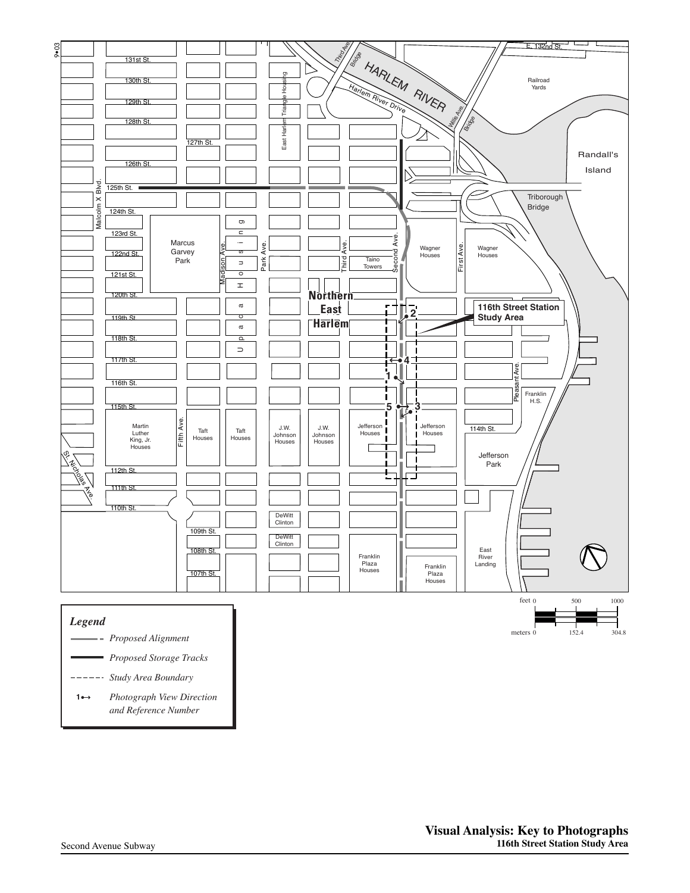

- *Proposed Alignment*
- 103rd St. *Proposed Storage Tracks*
- *Study Area Boundary*
- and Reference Number Madison Ave.  $\frac{N}{2}$ *Photograph View Direction* **1**

 $\overline{\phantom{a}}$ Sinai

n.

 $\mathsf I$